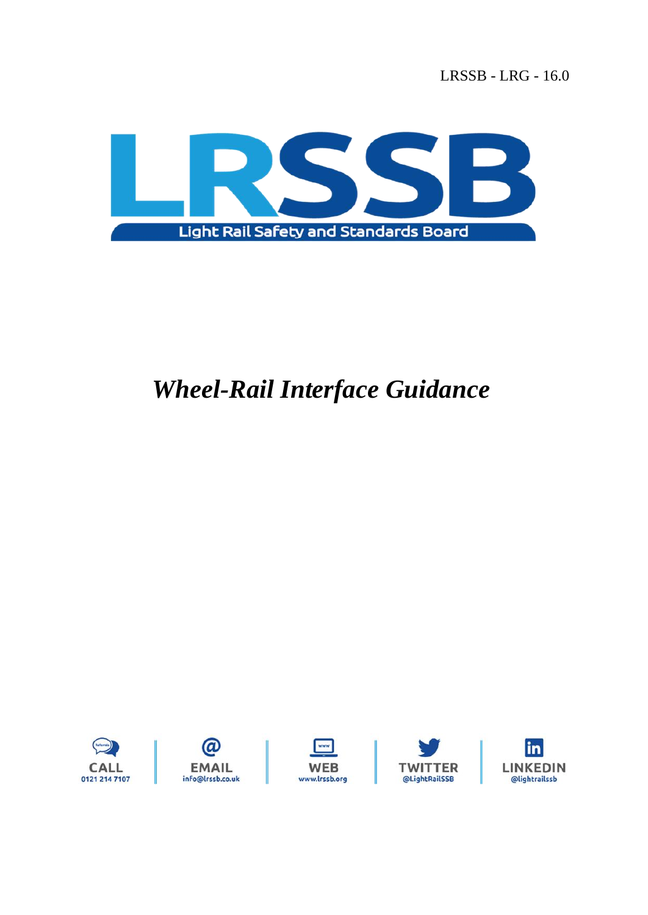LRSSB - LRG - 16.0



# *Wheel-Rail Interface Guidance*

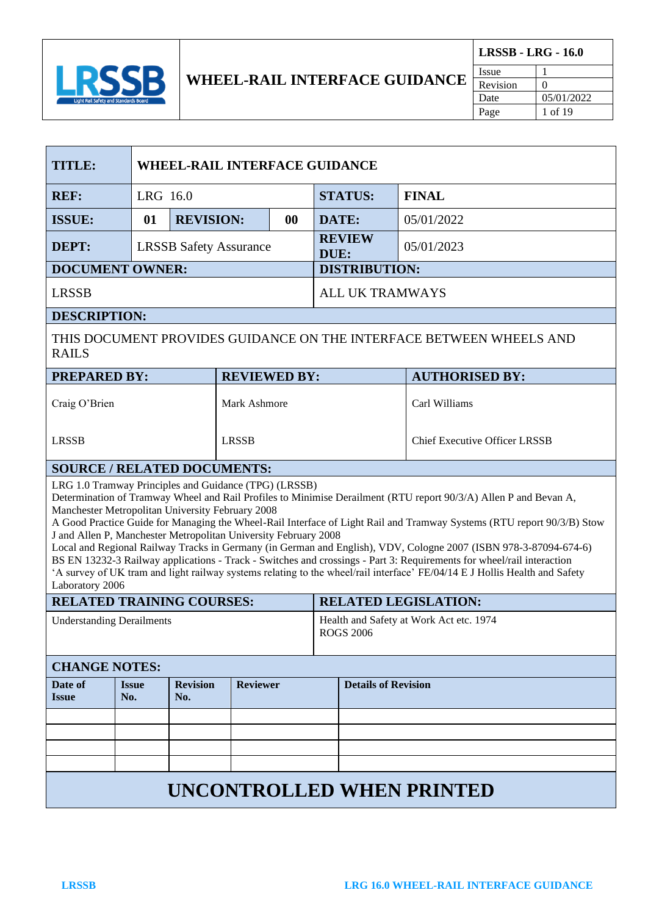

F

| <b>TITLE:</b>                                                                                                                                                                                                                                                                                                                                                                                                                                                                                                                                                                                                                                                                                                                                                                                                            |                               | <b>WHEEL-RAIL INTERFACE GUIDANCE</b> |                     |           |                                                             |                                      |              |
|--------------------------------------------------------------------------------------------------------------------------------------------------------------------------------------------------------------------------------------------------------------------------------------------------------------------------------------------------------------------------------------------------------------------------------------------------------------------------------------------------------------------------------------------------------------------------------------------------------------------------------------------------------------------------------------------------------------------------------------------------------------------------------------------------------------------------|-------------------------------|--------------------------------------|---------------------|-----------|-------------------------------------------------------------|--------------------------------------|--------------|
| <b>REF:</b>                                                                                                                                                                                                                                                                                                                                                                                                                                                                                                                                                                                                                                                                                                                                                                                                              |                               | LRG 16.0                             |                     |           |                                                             | <b>STATUS:</b>                       | <b>FINAL</b> |
| <b>ISSUE:</b>                                                                                                                                                                                                                                                                                                                                                                                                                                                                                                                                                                                                                                                                                                                                                                                                            | 01                            | <b>REVISION:</b>                     |                     | $\bf{00}$ | DATE:                                                       |                                      | 05/01/2022   |
| DEPT:                                                                                                                                                                                                                                                                                                                                                                                                                                                                                                                                                                                                                                                                                                                                                                                                                    | <b>LRSSB Safety Assurance</b> |                                      |                     |           | DUE:                                                        | <b>REVIEW</b>                        | 05/01/2023   |
| <b>DOCUMENT OWNER:</b>                                                                                                                                                                                                                                                                                                                                                                                                                                                                                                                                                                                                                                                                                                                                                                                                   |                               |                                      |                     |           | <b>DISTRIBUTION:</b>                                        |                                      |              |
| <b>LRSSB</b>                                                                                                                                                                                                                                                                                                                                                                                                                                                                                                                                                                                                                                                                                                                                                                                                             |                               |                                      |                     |           | <b>ALL UK TRAMWAYS</b>                                      |                                      |              |
| <b>DESCRIPTION:</b>                                                                                                                                                                                                                                                                                                                                                                                                                                                                                                                                                                                                                                                                                                                                                                                                      |                               |                                      |                     |           |                                                             |                                      |              |
| THIS DOCUMENT PROVIDES GUIDANCE ON THE INTERFACE BETWEEN WHEELS AND<br><b>RAILS</b>                                                                                                                                                                                                                                                                                                                                                                                                                                                                                                                                                                                                                                                                                                                                      |                               |                                      |                     |           |                                                             |                                      |              |
| <b>PREPARED BY:</b>                                                                                                                                                                                                                                                                                                                                                                                                                                                                                                                                                                                                                                                                                                                                                                                                      |                               |                                      | <b>REVIEWED BY:</b> |           |                                                             | <b>AUTHORISED BY:</b>                |              |
| Craig O'Brien                                                                                                                                                                                                                                                                                                                                                                                                                                                                                                                                                                                                                                                                                                                                                                                                            |                               |                                      | Mark Ashmore        |           |                                                             | Carl Williams                        |              |
| <b>LRSSB</b>                                                                                                                                                                                                                                                                                                                                                                                                                                                                                                                                                                                                                                                                                                                                                                                                             |                               |                                      | <b>LRSSB</b>        |           |                                                             | <b>Chief Executive Officer LRSSB</b> |              |
| <b>SOURCE / RELATED DOCUMENTS:</b>                                                                                                                                                                                                                                                                                                                                                                                                                                                                                                                                                                                                                                                                                                                                                                                       |                               |                                      |                     |           |                                                             |                                      |              |
| LRG 1.0 Tramway Principles and Guidance (TPG) (LRSSB)<br>Determination of Tramway Wheel and Rail Profiles to Minimise Derailment (RTU report 90/3/A) Allen P and Bevan A,<br>Manchester Metropolitan University February 2008<br>A Good Practice Guide for Managing the Wheel-Rail Interface of Light Rail and Tramway Systems (RTU report 90/3/B) Stow<br>J and Allen P, Manchester Metropolitan University February 2008<br>Local and Regional Railway Tracks in Germany (in German and English), VDV, Cologne 2007 (ISBN 978-3-87094-674-6)<br>BS EN 13232-3 Railway applications - Track - Switches and crossings - Part 3: Requirements for wheel/rail interaction<br>'A survey of UK tram and light railway systems relating to the wheel/rail interface' FE/04/14 E J Hollis Health and Safety<br>Laboratory 2006 |                               |                                      |                     |           |                                                             |                                      |              |
| <b>RELATED TRAINING COURSES:</b>                                                                                                                                                                                                                                                                                                                                                                                                                                                                                                                                                                                                                                                                                                                                                                                         |                               |                                      |                     |           | <b>RELATED LEGISLATION:</b>                                 |                                      |              |
| <b>Understanding Derailments</b>                                                                                                                                                                                                                                                                                                                                                                                                                                                                                                                                                                                                                                                                                                                                                                                         |                               |                                      |                     |           | Health and Safety at Work Act etc. 1974<br><b>ROGS 2006</b> |                                      |              |
| <b>CHANGE NOTES:</b>                                                                                                                                                                                                                                                                                                                                                                                                                                                                                                                                                                                                                                                                                                                                                                                                     |                               |                                      |                     |           |                                                             |                                      |              |
| Date of<br><b>Issue</b>                                                                                                                                                                                                                                                                                                                                                                                                                                                                                                                                                                                                                                                                                                                                                                                                  | <b>Issue</b><br>No.           | <b>Revision</b><br>No.               | <b>Reviewer</b>     |           |                                                             | <b>Details of Revision</b>           |              |
|                                                                                                                                                                                                                                                                                                                                                                                                                                                                                                                                                                                                                                                                                                                                                                                                                          |                               |                                      |                     |           |                                                             |                                      |              |
|                                                                                                                                                                                                                                                                                                                                                                                                                                                                                                                                                                                                                                                                                                                                                                                                                          |                               |                                      |                     |           |                                                             |                                      |              |
|                                                                                                                                                                                                                                                                                                                                                                                                                                                                                                                                                                                                                                                                                                                                                                                                                          |                               |                                      |                     |           |                                                             |                                      |              |
|                                                                                                                                                                                                                                                                                                                                                                                                                                                                                                                                                                                                                                                                                                                                                                                                                          |                               |                                      |                     |           |                                                             |                                      |              |
| <b>UNCONTROLLED WHEN PRINTED</b>                                                                                                                                                                                                                                                                                                                                                                                                                                                                                                                                                                                                                                                                                                                                                                                         |                               |                                      |                     |           |                                                             |                                      |              |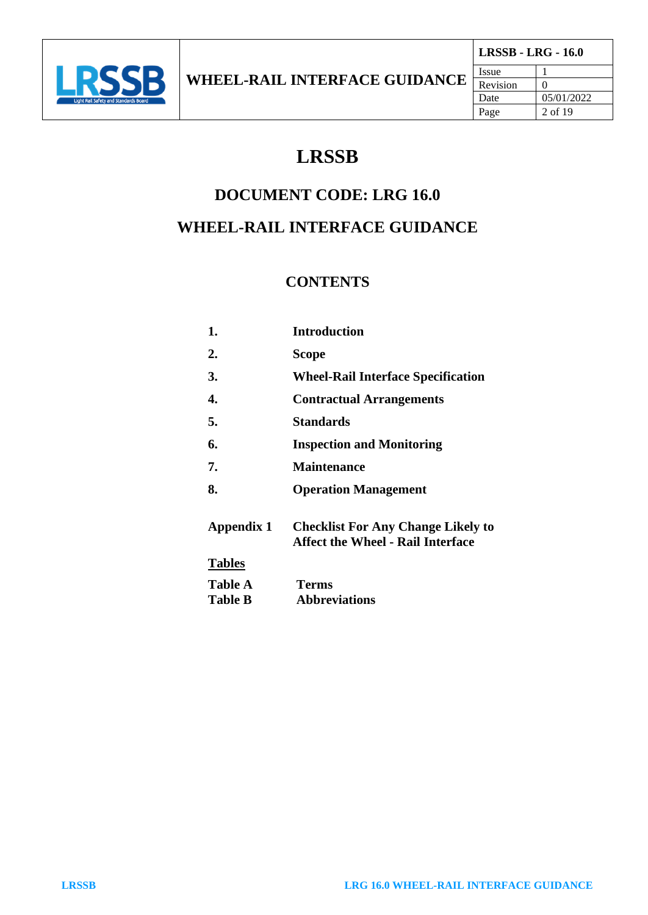

# **LRSSB**

## **DOCUMENT CODE: LRG 16.0**

# **WHEEL-RAIL INTERFACE GUIDANCE**

### **CONTENTS**

| 1.             | <b>Introduction</b>                                                                   |
|----------------|---------------------------------------------------------------------------------------|
| 2.             | Scope                                                                                 |
| 3.             | <b>Wheel-Rail Interface Specification</b>                                             |
| 4.             | <b>Contractual Arrangements</b>                                                       |
| 5.             | <b>Standards</b>                                                                      |
| 6.             | <b>Inspection and Monitoring</b>                                                      |
| 7.             | <b>Maintenance</b>                                                                    |
| 8.             | <b>Operation Management</b>                                                           |
| Appendix 1     | <b>Checklist For Any Change Likely to</b><br><b>Affect the Wheel - Rail Interface</b> |
| <b>Tables</b>  |                                                                                       |
| <b>Table A</b> | <b>Terms</b>                                                                          |
| <b>Table B</b> | <b>Abbreviations</b>                                                                  |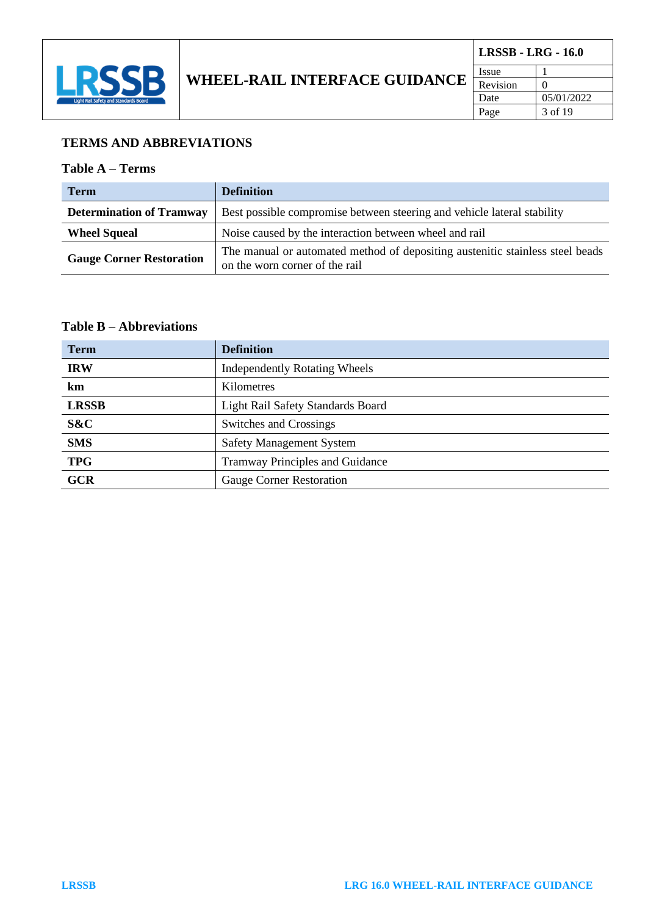

#### **TERMS AND ABBREVIATIONS**

#### **Table A – Terms**

| <b>Term</b>                     | <b>Definition</b>                                                                                               |  |
|---------------------------------|-----------------------------------------------------------------------------------------------------------------|--|
| <b>Determination of Tramway</b> | Best possible compromise between steering and vehicle lateral stability                                         |  |
| <b>Wheel Squeal</b>             | Noise caused by the interaction between wheel and rail                                                          |  |
| <b>Gauge Corner Restoration</b> | The manual or automated method of depositing austenitic stainless steel beads<br>on the worn corner of the rail |  |

#### **Table B – Abbreviations**

| <b>Term</b>  | <b>Definition</b>                        |
|--------------|------------------------------------------|
| <b>IRW</b>   | <b>Independently Rotating Wheels</b>     |
| km           | Kilometres                               |
| <b>LRSSB</b> | <b>Light Rail Safety Standards Board</b> |
| S&C          | Switches and Crossings                   |
| <b>SMS</b>   | <b>Safety Management System</b>          |
| <b>TPG</b>   | <b>Tramway Principles and Guidance</b>   |
| <b>GCR</b>   | <b>Gauge Corner Restoration</b>          |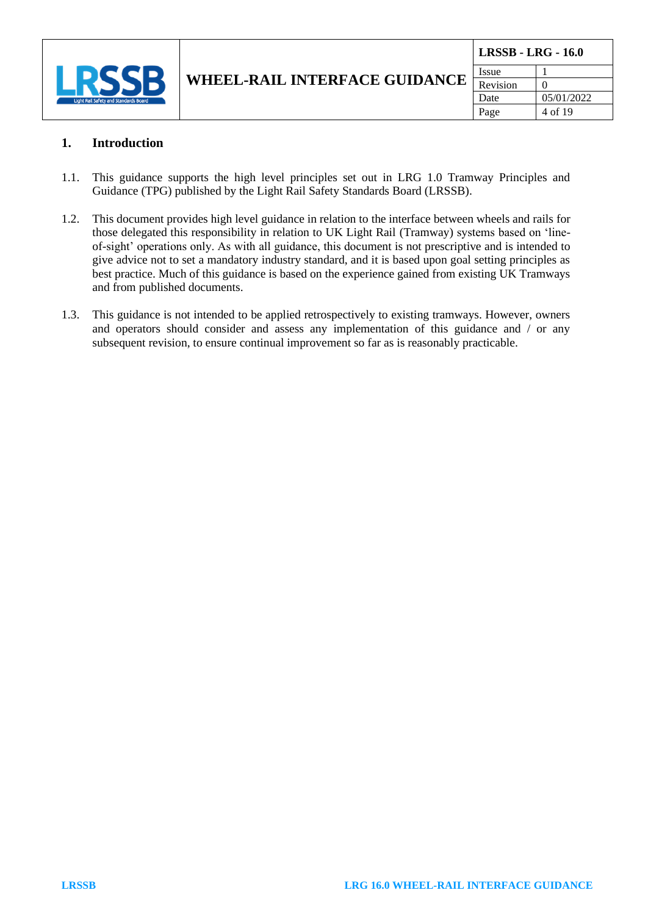

#### **1. Introduction**

- 1.1. This guidance supports the high level principles set out in LRG 1.0 Tramway Principles and Guidance (TPG) published by the Light Rail Safety Standards Board (LRSSB).
- 1.2. This document provides high level guidance in relation to the interface between wheels and rails for those delegated this responsibility in relation to UK Light Rail (Tramway) systems based on 'lineof-sight' operations only. As with all guidance, this document is not prescriptive and is intended to give advice not to set a mandatory industry standard, and it is based upon goal setting principles as best practice. Much of this guidance is based on the experience gained from existing UK Tramways and from published documents.
- 1.3. This guidance is not intended to be applied retrospectively to existing tramways. However, owners and operators should consider and assess any implementation of this guidance and / or any subsequent revision, to ensure continual improvement so far as is reasonably practicable.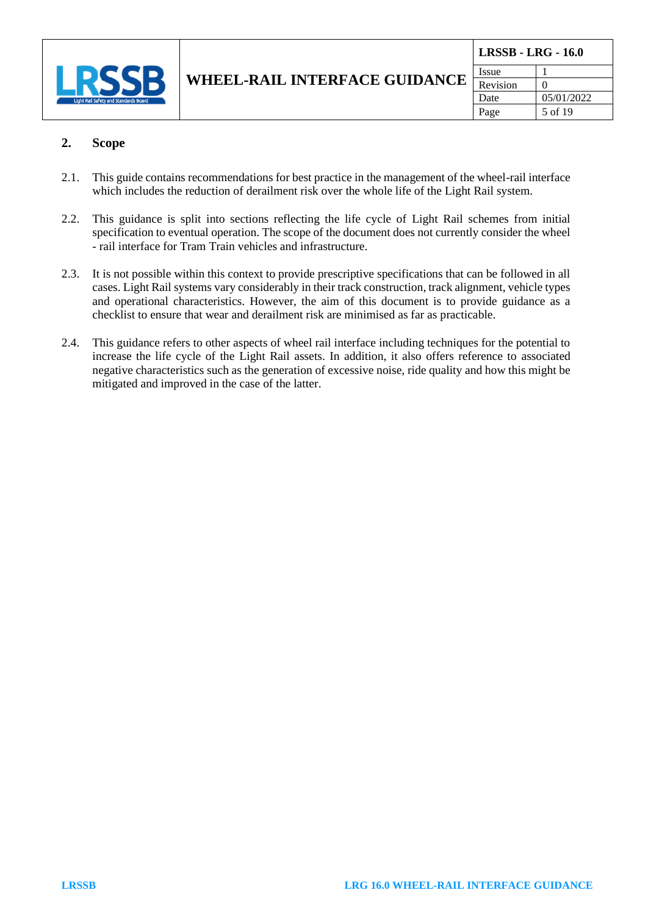

| <b>LRSSB - LRG - 16.0</b> |            |  |
|---------------------------|------------|--|
| Issue                     |            |  |
| Revision                  |            |  |
| Date                      | 05/01/2022 |  |
| Page                      | 5 of 19    |  |

#### **2. Scope**

- 2.1. This guide contains recommendations for best practice in the management of the wheel-rail interface which includes the reduction of derailment risk over the whole life of the Light Rail system.
- 2.2. This guidance is split into sections reflecting the life cycle of Light Rail schemes from initial specification to eventual operation. The scope of the document does not currently consider the wheel - rail interface for Tram Train vehicles and infrastructure.
- 2.3. It is not possible within this context to provide prescriptive specifications that can be followed in all cases. Light Rail systems vary considerably in their track construction, track alignment, vehicle types and operational characteristics. However, the aim of this document is to provide guidance as a checklist to ensure that wear and derailment risk are minimised as far as practicable.
- 2.4. This guidance refers to other aspects of wheel rail interface including techniques for the potential to increase the life cycle of the Light Rail assets. In addition, it also offers reference to associated negative characteristics such as the generation of excessive noise, ride quality and how this might be mitigated and improved in the case of the latter.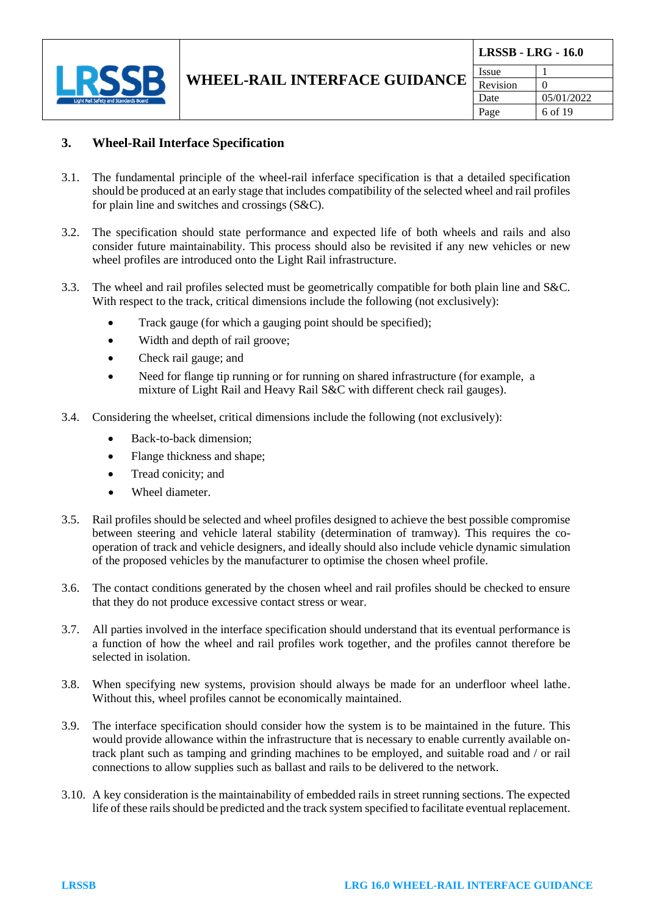

| <b>LRSSB - LRG - 16.0</b> |            |  |
|---------------------------|------------|--|
| Issue                     |            |  |
| Revision                  | 0          |  |
| Date                      | 05/01/2022 |  |
| Page                      | 6 of 19    |  |

#### **3. Wheel-Rail Interface Specification**

- 3.1. The fundamental principle of the wheel-rail inferface specification is that a detailed specification should be produced at an early stage that includes compatibility of the selected wheel and rail profiles for plain line and switches and crossings (S&C).
- 3.2. The specification should state performance and expected life of both wheels and rails and also consider future maintainability. This process should also be revisited if any new vehicles or new wheel profiles are introduced onto the Light Rail infrastructure.
- 3.3. The wheel and rail profiles selected must be geometrically compatible for both plain line and S&C. With respect to the track, critical dimensions include the following (not exclusively):
	- Track gauge (for which a gauging point should be specified);
	- Width and depth of rail groove;
	- Check rail gauge; and
	- Need for flange tip running or for running on shared infrastructure (for example, a mixture of Light Rail and Heavy Rail S&C with different check rail gauges).
- 3.4. Considering the wheelset, critical dimensions include the following (not exclusively):
	- Back-to-back dimension;
	- Flange thickness and shape;
	- Tread conicity; and
	- Wheel diameter.
- 3.5. Rail profiles should be selected and wheel profiles designed to achieve the best possible compromise between steering and vehicle lateral stability (determination of tramway). This requires the cooperation of track and vehicle designers, and ideally should also include vehicle dynamic simulation of the proposed vehicles by the manufacturer to optimise the chosen wheel profile.
- 3.6. The contact conditions generated by the chosen wheel and rail profiles should be checked to ensure that they do not produce excessive contact stress or wear.
- 3.7. All parties involved in the interface specification should understand that its eventual performance is a function of how the wheel and rail profiles work together, and the profiles cannot therefore be selected in isolation.
- 3.8. When specifying new systems, provision should always be made for an underfloor wheel lathe. Without this, wheel profiles cannot be economically maintained.
- 3.9. The interface specification should consider how the system is to be maintained in the future. This would provide allowance within the infrastructure that is necessary to enable currently available ontrack plant such as tamping and grinding machines to be employed, and suitable road and / or rail connections to allow supplies such as ballast and rails to be delivered to the network.
- 3.10. A key consideration is the maintainability of embedded rails in street running sections. The expected life of these rails should be predicted and the track system specified to facilitate eventual replacement.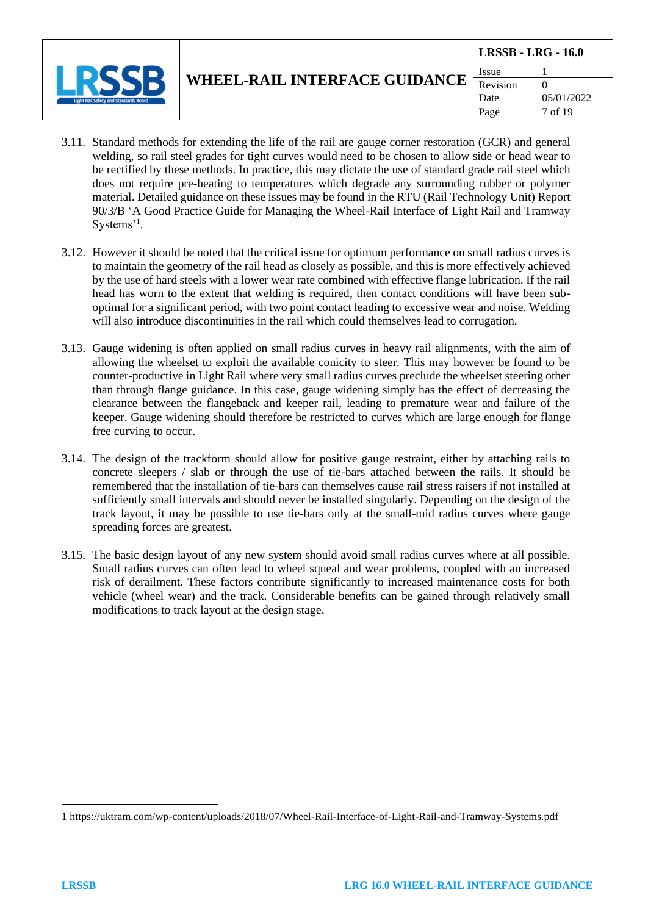

Page  $\vert$  7 of 19

- 3.11. Standard methods for extending the life of the rail are gauge corner restoration (GCR) and general welding, so rail steel grades for tight curves would need to be chosen to allow side or head wear to be rectified by these methods. In practice, this may dictate the use of standard grade rail steel which does not require pre-heating to temperatures which degrade any surrounding rubber or polymer material. Detailed guidance on these issues may be found in the RTU (Rail Technology Unit) Report 90/3/B 'A Good Practice Guide for Managing the Wheel-Rail Interface of Light Rail and Tramway Systems'<sup>1</sup>.
- 3.12. However it should be noted that the critical issue for optimum performance on small radius curves is to maintain the geometry of the rail head as closely as possible, and this is more effectively achieved by the use of hard steels with a lower wear rate combined with effective flange lubrication. If the rail head has worn to the extent that welding is required, then contact conditions will have been suboptimal for a significant period, with two point contact leading to excessive wear and noise. Welding will also introduce discontinuities in the rail which could themselves lead to corrugation.
- 3.13. Gauge widening is often applied on small radius curves in heavy rail alignments, with the aim of allowing the wheelset to exploit the available conicity to steer. This may however be found to be counter-productive in Light Rail where very small radius curves preclude the wheelset steering other than through flange guidance. In this case, gauge widening simply has the effect of decreasing the clearance between the flangeback and keeper rail, leading to premature wear and failure of the keeper. Gauge widening should therefore be restricted to curves which are large enough for flange free curving to occur.
- 3.14. The design of the trackform should allow for positive gauge restraint, either by attaching rails to concrete sleepers / slab or through the use of tie-bars attached between the rails. It should be remembered that the installation of tie-bars can themselves cause rail stress raisers if not installed at sufficiently small intervals and should never be installed singularly. Depending on the design of the track layout, it may be possible to use tie-bars only at the small-mid radius curves where gauge spreading forces are greatest.
- 3.15. The basic design layout of any new system should avoid small radius curves where at all possible. Small radius curves can often lead to wheel squeal and wear problems, coupled with an increased risk of derailment. These factors contribute significantly to increased maintenance costs for both vehicle (wheel wear) and the track. Considerable benefits can be gained through relatively small modifications to track layout at the design stage.

<sup>1</sup> https://uktram.com/wp-content/uploads/2018/07/Wheel-Rail-Interface-of-Light-Rail-and-Tramway-Systems.pdf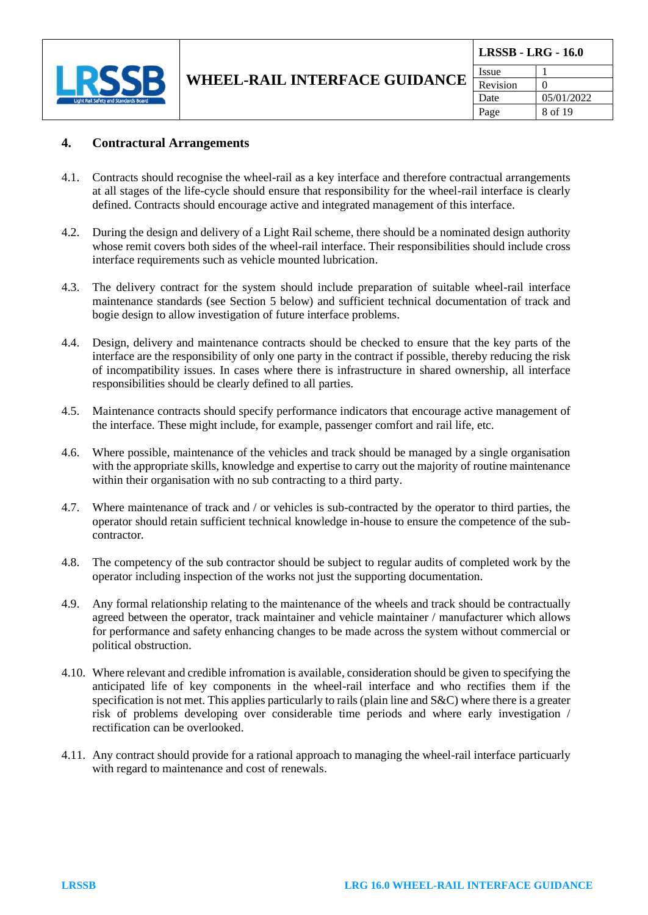

#### **4. Contractural Arrangements**

- 4.1. Contracts should recognise the wheel-rail as a key interface and therefore contractual arrangements at all stages of the life-cycle should ensure that responsibility for the wheel-rail interface is clearly defined. Contracts should encourage active and integrated management of this interface.
- 4.2. During the design and delivery of a Light Rail scheme, there should be a nominated design authority whose remit covers both sides of the wheel-rail interface. Their responsibilities should include cross interface requirements such as vehicle mounted lubrication.
- 4.3. The delivery contract for the system should include preparation of suitable wheel-rail interface maintenance standards (see Section 5 below) and sufficient technical documentation of track and bogie design to allow investigation of future interface problems.
- 4.4. Design, delivery and maintenance contracts should be checked to ensure that the key parts of the interface are the responsibility of only one party in the contract if possible, thereby reducing the risk of incompatibility issues. In cases where there is infrastructure in shared ownership, all interface responsibilities should be clearly defined to all parties.
- 4.5. Maintenance contracts should specify performance indicators that encourage active management of the interface. These might include, for example, passenger comfort and rail life, etc.
- 4.6. Where possible, maintenance of the vehicles and track should be managed by a single organisation with the appropriate skills, knowledge and expertise to carry out the majority of routine maintenance within their organisation with no sub contracting to a third party.
- 4.7. Where maintenance of track and / or vehicles is sub-contracted by the operator to third parties, the operator should retain sufficient technical knowledge in-house to ensure the competence of the subcontractor.
- 4.8. The competency of the sub contractor should be subject to regular audits of completed work by the operator including inspection of the works not just the supporting documentation.
- 4.9. Any formal relationship relating to the maintenance of the wheels and track should be contractually agreed between the operator, track maintainer and vehicle maintainer / manufacturer which allows for performance and safety enhancing changes to be made across the system without commercial or political obstruction.
- 4.10. Where relevant and credible infromation is available, consideration should be given to specifying the anticipated life of key components in the wheel-rail interface and who rectifies them if the specification is not met. This applies particularly to rails (plain line and S&C) where there is a greater risk of problems developing over considerable time periods and where early investigation / rectification can be overlooked.
- 4.11. Any contract should provide for a rational approach to managing the wheel-rail interface particuarly with regard to maintenance and cost of renewals.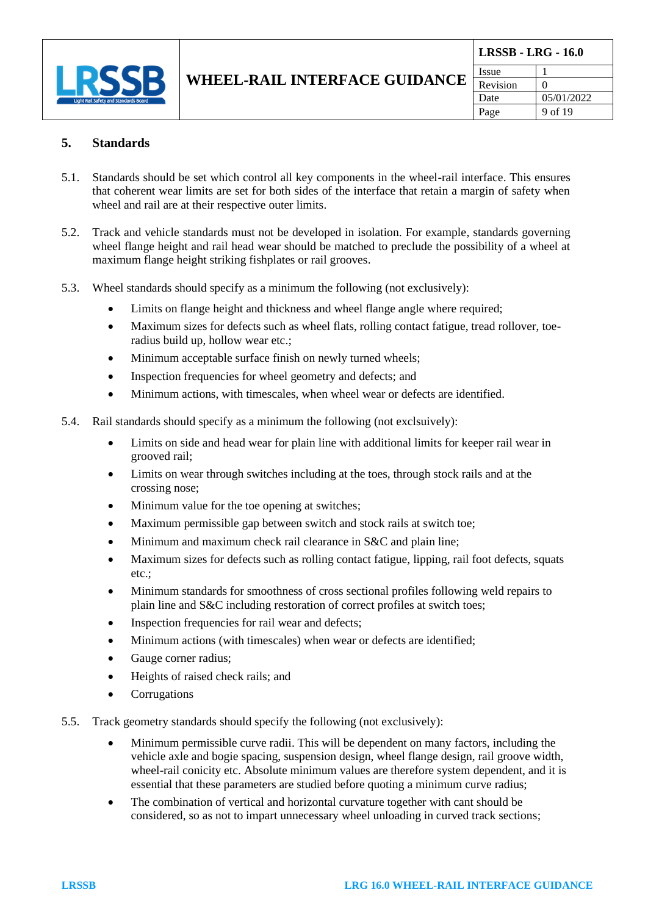

#### **5. Standards**

- 5.1. Standards should be set which control all key components in the wheel-rail interface. This ensures that coherent wear limits are set for both sides of the interface that retain a margin of safety when wheel and rail are at their respective outer limits.
- 5.2. Track and vehicle standards must not be developed in isolation. For example, standards governing wheel flange height and rail head wear should be matched to preclude the possibility of a wheel at maximum flange height striking fishplates or rail grooves.
- 5.3. Wheel standards should specify as a minimum the following (not exclusively):
	- Limits on flange height and thickness and wheel flange angle where required;
	- Maximum sizes for defects such as wheel flats, rolling contact fatigue, tread rollover, toeradius build up, hollow wear etc.;
	- Minimum acceptable surface finish on newly turned wheels;
	- Inspection frequencies for wheel geometry and defects; and
	- Minimum actions, with timescales, when wheel wear or defects are identified.
- 5.4. Rail standards should specify as a minimum the following (not exclsuively):
	- Limits on side and head wear for plain line with additional limits for keeper rail wear in grooved rail;
	- Limits on wear through switches including at the toes, through stock rails and at the crossing nose;
	- Minimum value for the toe opening at switches;
	- Maximum permissible gap between switch and stock rails at switch toe;
	- Minimum and maximum check rail clearance in S&C and plain line;
	- Maximum sizes for defects such as rolling contact fatigue, lipping, rail foot defects, squats etc.;
	- Minimum standards for smoothness of cross sectional profiles following weld repairs to plain line and S&C including restoration of correct profiles at switch toes;
	- Inspection frequencies for rail wear and defects;
	- Minimum actions (with timescales) when wear or defects are identified;
	- Gauge corner radius;
	- Heights of raised check rails; and
	- **Corrugations**
- 5.5. Track geometry standards should specify the following (not exclusively):
	- Minimum permissible curve radii. This will be dependent on many factors, including the vehicle axle and bogie spacing, suspension design, wheel flange design, rail groove width, wheel-rail conicity etc. Absolute minimum values are therefore system dependent, and it is essential that these parameters are studied before quoting a minimum curve radius;
	- The combination of vertical and horizontal curvature together with cant should be considered, so as not to impart unnecessary wheel unloading in curved track sections;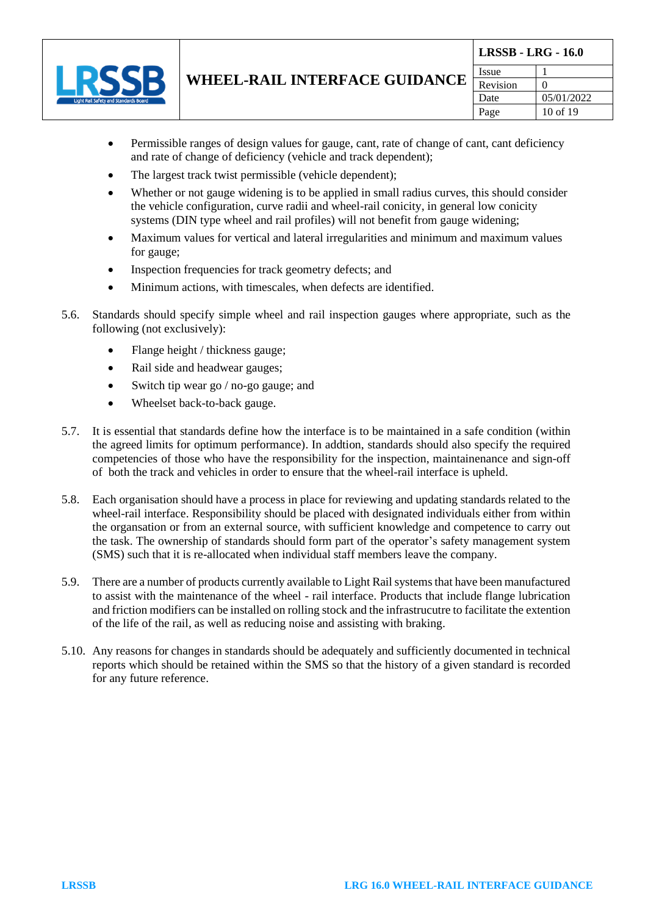

- Permissible ranges of design values for gauge, cant, rate of change of cant, cant deficiency and rate of change of deficiency (vehicle and track dependent);
- The largest track twist permissible (vehicle dependent):
- Whether or not gauge widening is to be applied in small radius curves, this should consider the vehicle configuration, curve radii and wheel-rail conicity, in general low conicity systems (DIN type wheel and rail profiles) will not benefit from gauge widening;
- Maximum values for vertical and lateral irregularities and minimum and maximum values for gauge;
- Inspection frequencies for track geometry defects; and
- Minimum actions, with timescales, when defects are identified.
- 5.6. Standards should specify simple wheel and rail inspection gauges where appropriate, such as the following (not exclusively):
	- Flange height / thickness gauge;
	- Rail side and headwear gauges;
	- Switch tip wear go / no-go gauge; and
	- Wheelset back-to-back gauge.
- 5.7. It is essential that standards define how the interface is to be maintained in a safe condition (within the agreed limits for optimum performance). In addtion, standards should also specify the required competencies of those who have the responsibility for the inspection, maintainenance and sign-off of both the track and vehicles in order to ensure that the wheel-rail interface is upheld.
- 5.8. Each organisation should have a process in place for reviewing and updating standards related to the wheel-rail interface. Responsibility should be placed with designated individuals either from within the organsation or from an external source, with sufficient knowledge and competence to carry out the task. The ownership of standards should form part of the operator's safety management system (SMS) such that it is re-allocated when individual staff members leave the company.
- 5.9. There are a number of products currently available to Light Rail systems that have been manufactured to assist with the maintenance of the wheel - rail interface. Products that include flange lubrication and friction modifiers can be installed on rolling stock and the infrastrucutre to facilitate the extention of the life of the rail, as well as reducing noise and assisting with braking.
- 5.10. Any reasons for changes in standards should be adequately and sufficiently documented in technical reports which should be retained within the SMS so that the history of a given standard is recorded for any future reference.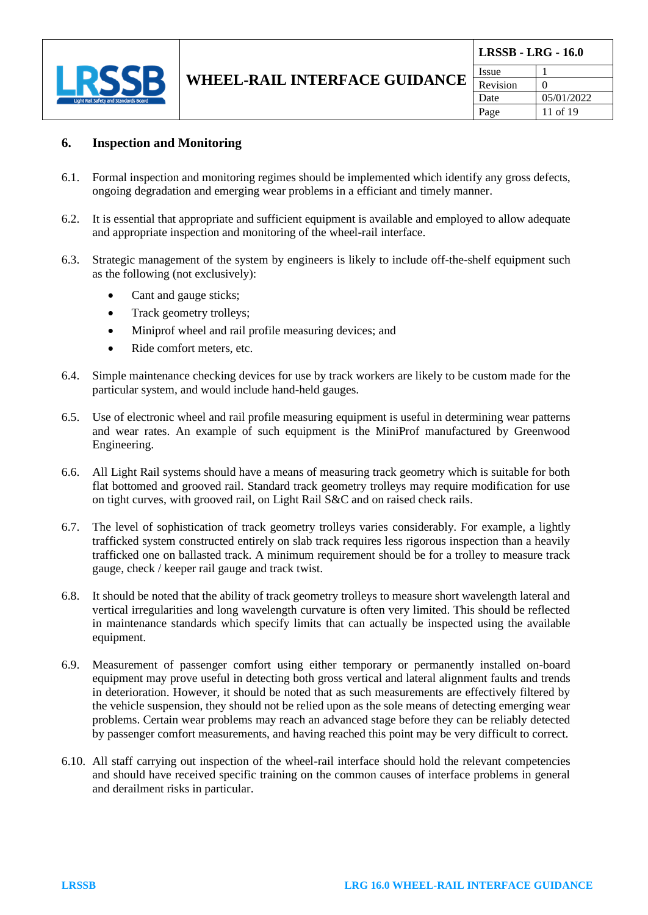

| <b>LRSSB - LRG - 16.0</b> |              |  |
|---------------------------|--------------|--|
| Issue                     |              |  |
| Revision                  | $\mathbf{I}$ |  |
| Date                      | 05/01/2022   |  |
| Page                      | 11 of 19     |  |

#### **6. Inspection and Monitoring**

- 6.1. Formal inspection and monitoring regimes should be implemented which identify any gross defects, ongoing degradation and emerging wear problems in a efficiant and timely manner.
- 6.2. It is essential that appropriate and sufficient equipment is available and employed to allow adequate and appropriate inspection and monitoring of the wheel-rail interface.
- 6.3. Strategic management of the system by engineers is likely to include off-the-shelf equipment such as the following (not exclusively):
	- Cant and gauge sticks;
	- Track geometry trolleys;
	- Miniprof wheel and rail profile measuring devices; and
	- Ride comfort meters, etc.
- 6.4. Simple maintenance checking devices for use by track workers are likely to be custom made for the particular system, and would include hand-held gauges.
- 6.5. Use of electronic wheel and rail profile measuring equipment is useful in determining wear patterns and wear rates. An example of such equipment is the MiniProf manufactured by Greenwood Engineering.
- 6.6. All Light Rail systems should have a means of measuring track geometry which is suitable for both flat bottomed and grooved rail. Standard track geometry trolleys may require modification for use on tight curves, with grooved rail, on Light Rail S&C and on raised check rails.
- 6.7. The level of sophistication of track geometry trolleys varies considerably. For example, a lightly trafficked system constructed entirely on slab track requires less rigorous inspection than a heavily trafficked one on ballasted track. A minimum requirement should be for a trolley to measure track gauge, check / keeper rail gauge and track twist.
- 6.8. It should be noted that the ability of track geometry trolleys to measure short wavelength lateral and vertical irregularities and long wavelength curvature is often very limited. This should be reflected in maintenance standards which specify limits that can actually be inspected using the available equipment.
- 6.9. Measurement of passenger comfort using either temporary or permanently installed on-board equipment may prove useful in detecting both gross vertical and lateral alignment faults and trends in deterioration. However, it should be noted that as such measurements are effectively filtered by the vehicle suspension, they should not be relied upon as the sole means of detecting emerging wear problems. Certain wear problems may reach an advanced stage before they can be reliably detected by passenger comfort measurements, and having reached this point may be very difficult to correct.
- 6.10. All staff carrying out inspection of the wheel-rail interface should hold the relevant competencies and should have received specific training on the common causes of interface problems in general and derailment risks in particular.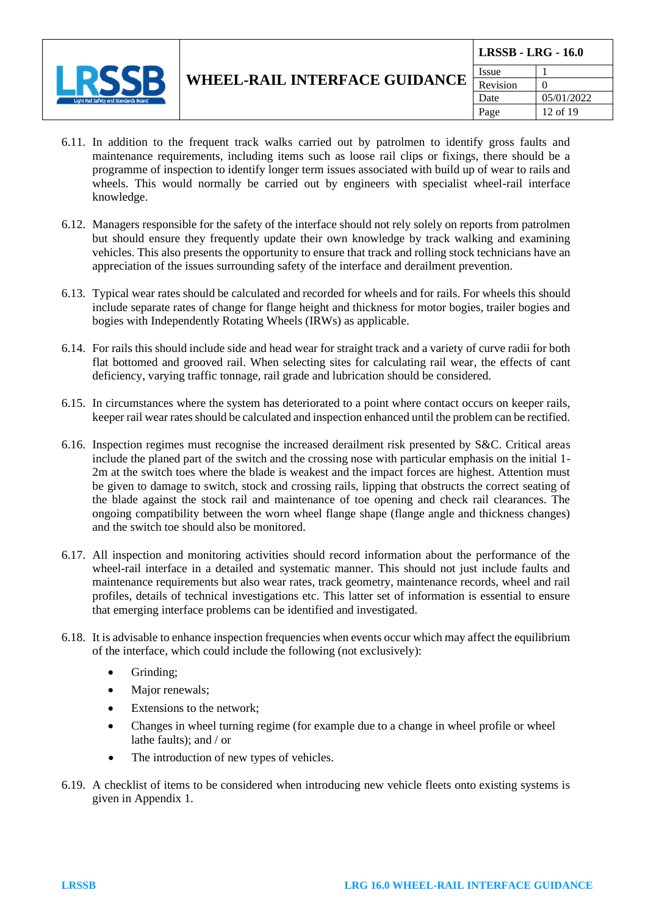

**LRSSB - LRG - 16.0**

- 6.11. In addition to the frequent track walks carried out by patrolmen to identify gross faults and maintenance requirements, including items such as loose rail clips or fixings, there should be a programme of inspection to identify longer term issues associated with build up of wear to rails and wheels. This would normally be carried out by engineers with specialist wheel-rail interface knowledge.
- 6.12. Managers responsible for the safety of the interface should not rely solely on reports from patrolmen but should ensure they frequently update their own knowledge by track walking and examining vehicles. This also presents the opportunity to ensure that track and rolling stock technicians have an appreciation of the issues surrounding safety of the interface and derailment prevention.
- 6.13. Typical wear rates should be calculated and recorded for wheels and for rails. For wheels this should include separate rates of change for flange height and thickness for motor bogies, trailer bogies and bogies with Independently Rotating Wheels (IRWs) as applicable.
- 6.14. For rails this should include side and head wear for straight track and a variety of curve radii for both flat bottomed and grooved rail. When selecting sites for calculating rail wear, the effects of cant deficiency, varying traffic tonnage, rail grade and lubrication should be considered.
- 6.15. In circumstances where the system has deteriorated to a point where contact occurs on keeper rails, keeper rail wear rates should be calculated and inspection enhanced until the problem can be rectified.
- 6.16. Inspection regimes must recognise the increased derailment risk presented by S&C. Critical areas include the planed part of the switch and the crossing nose with particular emphasis on the initial 1- 2m at the switch toes where the blade is weakest and the impact forces are highest. Attention must be given to damage to switch, stock and crossing rails, lipping that obstructs the correct seating of the blade against the stock rail and maintenance of toe opening and check rail clearances. The ongoing compatibility between the worn wheel flange shape (flange angle and thickness changes) and the switch toe should also be monitored.
- 6.17. All inspection and monitoring activities should record information about the performance of the wheel-rail interface in a detailed and systematic manner. This should not just include faults and maintenance requirements but also wear rates, track geometry, maintenance records, wheel and rail profiles, details of technical investigations etc. This latter set of information is essential to ensure that emerging interface problems can be identified and investigated.
- 6.18. It is advisable to enhance inspection frequencies when events occur which may affect the equilibrium of the interface, which could include the following (not exclusively):
	- Grinding;
	- Major renewals;
	- Extensions to the network;
	- Changes in wheel turning regime (for example due to a change in wheel profile or wheel lathe faults); and / or
	- The introduction of new types of vehicles.
- 6.19. A checklist of items to be considered when introducing new vehicle fleets onto existing systems is given in Appendix 1.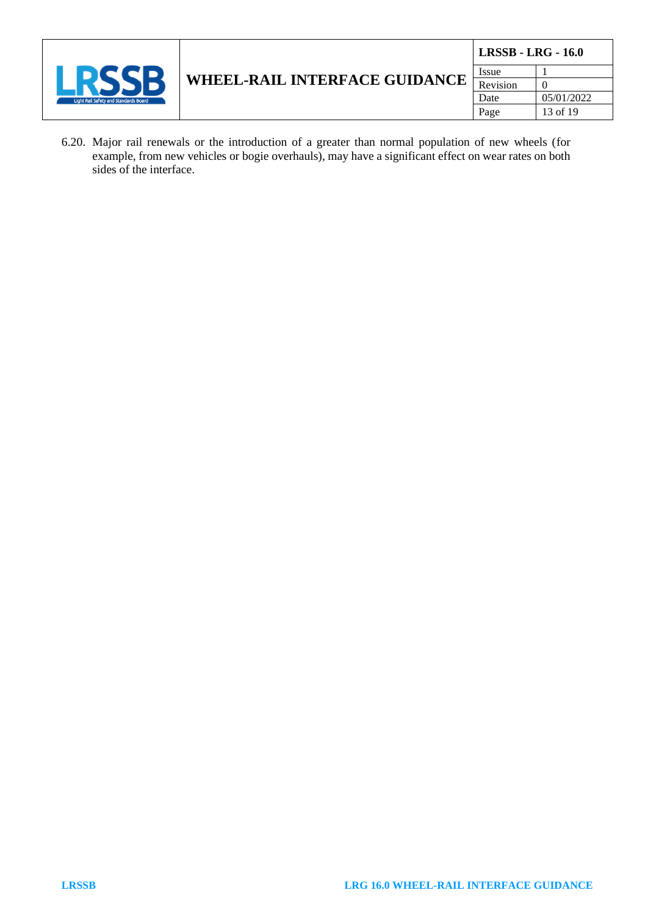

6.20. Major rail renewals or the introduction of a greater than normal population of new wheels (for example, from new vehicles or bogie overhauls), may have a significant effect on wear rates on both sides of the interface.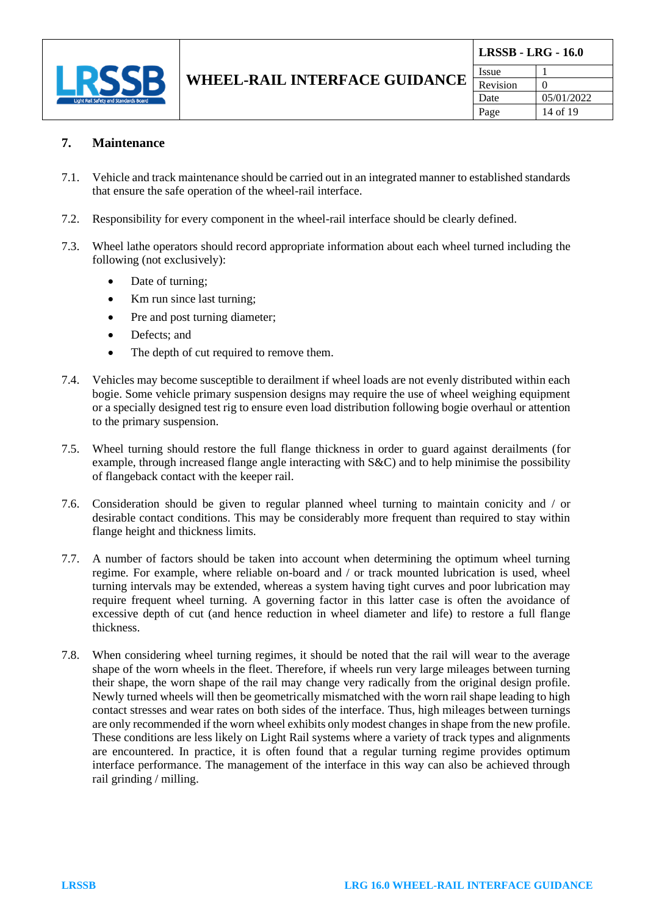

#### **7. Maintenance**

- 7.1. Vehicle and track maintenance should be carried out in an integrated manner to established standards that ensure the safe operation of the wheel-rail interface.
- 7.2. Responsibility for every component in the wheel-rail interface should be clearly defined.
- 7.3. Wheel lathe operators should record appropriate information about each wheel turned including the following (not exclusively):
	- Date of turning;
	- Km run since last turning;
	- Pre and post turning diameter;
	- Defects; and
	- The depth of cut required to remove them.
- 7.4. Vehicles may become susceptible to derailment if wheel loads are not evenly distributed within each bogie. Some vehicle primary suspension designs may require the use of wheel weighing equipment or a specially designed test rig to ensure even load distribution following bogie overhaul or attention to the primary suspension.
- 7.5. Wheel turning should restore the full flange thickness in order to guard against derailments (for example, through increased flange angle interacting with S&C) and to help minimise the possibility of flangeback contact with the keeper rail.
- 7.6. Consideration should be given to regular planned wheel turning to maintain conicity and / or desirable contact conditions. This may be considerably more frequent than required to stay within flange height and thickness limits.
- 7.7. A number of factors should be taken into account when determining the optimum wheel turning regime. For example, where reliable on-board and / or track mounted lubrication is used, wheel turning intervals may be extended, whereas a system having tight curves and poor lubrication may require frequent wheel turning. A governing factor in this latter case is often the avoidance of excessive depth of cut (and hence reduction in wheel diameter and life) to restore a full flange thickness.
- 7.8. When considering wheel turning regimes, it should be noted that the rail will wear to the average shape of the worn wheels in the fleet. Therefore, if wheels run very large mileages between turning their shape, the worn shape of the rail may change very radically from the original design profile. Newly turned wheels will then be geometrically mismatched with the worn rail shape leading to high contact stresses and wear rates on both sides of the interface. Thus, high mileages between turnings are only recommended if the worn wheel exhibits only modest changes in shape from the new profile. These conditions are less likely on Light Rail systems where a variety of track types and alignments are encountered. In practice, it is often found that a regular turning regime provides optimum interface performance. The management of the interface in this way can also be achieved through rail grinding / milling.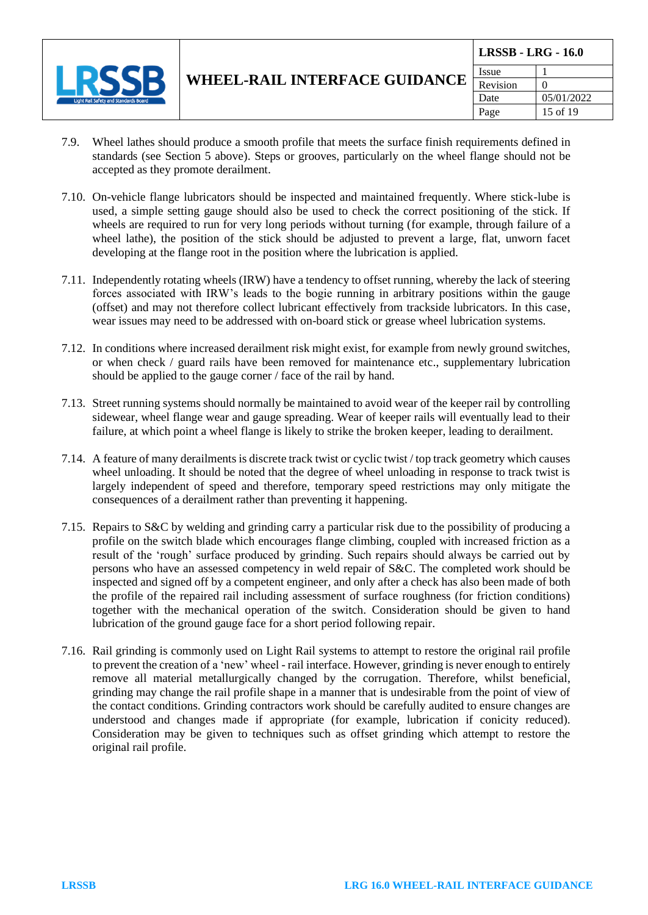

- 7.9. Wheel lathes should produce a smooth profile that meets the surface finish requirements defined in standards (see Section 5 above). Steps or grooves, particularly on the wheel flange should not be accepted as they promote derailment.
- 7.10. On-vehicle flange lubricators should be inspected and maintained frequently. Where stick-lube is used, a simple setting gauge should also be used to check the correct positioning of the stick. If wheels are required to run for very long periods without turning (for example, through failure of a wheel lathe), the position of the stick should be adjusted to prevent a large, flat, unworn facet developing at the flange root in the position where the lubrication is applied.
- 7.11. Independently rotating wheels (IRW) have a tendency to offset running, whereby the lack of steering forces associated with IRW's leads to the bogie running in arbitrary positions within the gauge (offset) and may not therefore collect lubricant effectively from trackside lubricators. In this case, wear issues may need to be addressed with on-board stick or grease wheel lubrication systems.
- 7.12. In conditions where increased derailment risk might exist, for example from newly ground switches, or when check / guard rails have been removed for maintenance etc., supplementary lubrication should be applied to the gauge corner / face of the rail by hand.
- 7.13. Street running systems should normally be maintained to avoid wear of the keeper rail by controlling sidewear, wheel flange wear and gauge spreading. Wear of keeper rails will eventually lead to their failure, at which point a wheel flange is likely to strike the broken keeper, leading to derailment.
- 7.14. A feature of many derailments is discrete track twist or cyclic twist / top track geometry which causes wheel unloading. It should be noted that the degree of wheel unloading in response to track twist is largely independent of speed and therefore, temporary speed restrictions may only mitigate the consequences of a derailment rather than preventing it happening.
- 7.15. Repairs to S&C by welding and grinding carry a particular risk due to the possibility of producing a profile on the switch blade which encourages flange climbing, coupled with increased friction as a result of the 'rough' surface produced by grinding. Such repairs should always be carried out by persons who have an assessed competency in weld repair of S&C. The completed work should be inspected and signed off by a competent engineer, and only after a check has also been made of both the profile of the repaired rail including assessment of surface roughness (for friction conditions) together with the mechanical operation of the switch. Consideration should be given to hand lubrication of the ground gauge face for a short period following repair.
- 7.16. Rail grinding is commonly used on Light Rail systems to attempt to restore the original rail profile to prevent the creation of a 'new' wheel - rail interface. However, grinding is never enough to entirely remove all material metallurgically changed by the corrugation. Therefore, whilst beneficial, grinding may change the rail profile shape in a manner that is undesirable from the point of view of the contact conditions. Grinding contractors work should be carefully audited to ensure changes are understood and changes made if appropriate (for example, lubrication if conicity reduced). Consideration may be given to techniques such as offset grinding which attempt to restore the original rail profile.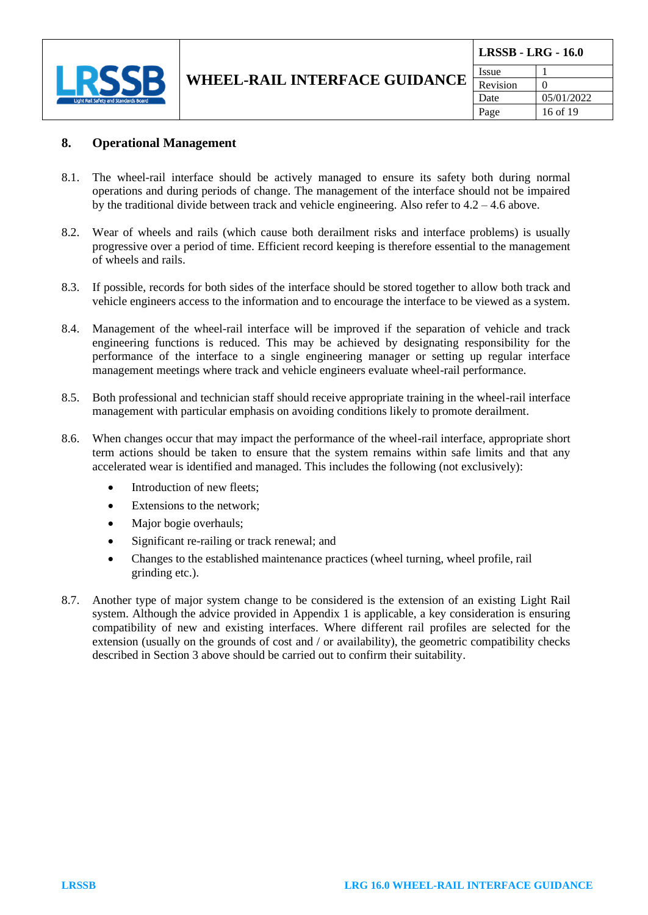

#### **8. Operational Management**

- 8.1. The wheel-rail interface should be actively managed to ensure its safety both during normal operations and during periods of change. The management of the interface should not be impaired by the traditional divide between track and vehicle engineering. Also refer to 4.2 – 4.6 above.
- 8.2. Wear of wheels and rails (which cause both derailment risks and interface problems) is usually progressive over a period of time. Efficient record keeping is therefore essential to the management of wheels and rails.
- 8.3. If possible, records for both sides of the interface should be stored together to allow both track and vehicle engineers access to the information and to encourage the interface to be viewed as a system.
- 8.4. Management of the wheel-rail interface will be improved if the separation of vehicle and track engineering functions is reduced. This may be achieved by designating responsibility for the performance of the interface to a single engineering manager or setting up regular interface management meetings where track and vehicle engineers evaluate wheel-rail performance.
- 8.5. Both professional and technician staff should receive appropriate training in the wheel-rail interface management with particular emphasis on avoiding conditions likely to promote derailment.
- 8.6. When changes occur that may impact the performance of the wheel-rail interface, appropriate short term actions should be taken to ensure that the system remains within safe limits and that any accelerated wear is identified and managed. This includes the following (not exclusively):
	- Introduction of new fleets;
	- Extensions to the network;
	- Major bogie overhauls;
	- Significant re-railing or track renewal; and
	- Changes to the established maintenance practices (wheel turning, wheel profile, rail grinding etc.).
- 8.7. Another type of major system change to be considered is the extension of an existing Light Rail system. Although the advice provided in Appendix 1 is applicable, a key consideration is ensuring compatibility of new and existing interfaces. Where different rail profiles are selected for the extension (usually on the grounds of cost and / or availability), the geometric compatibility checks described in Section 3 above should be carried out to confirm their suitability.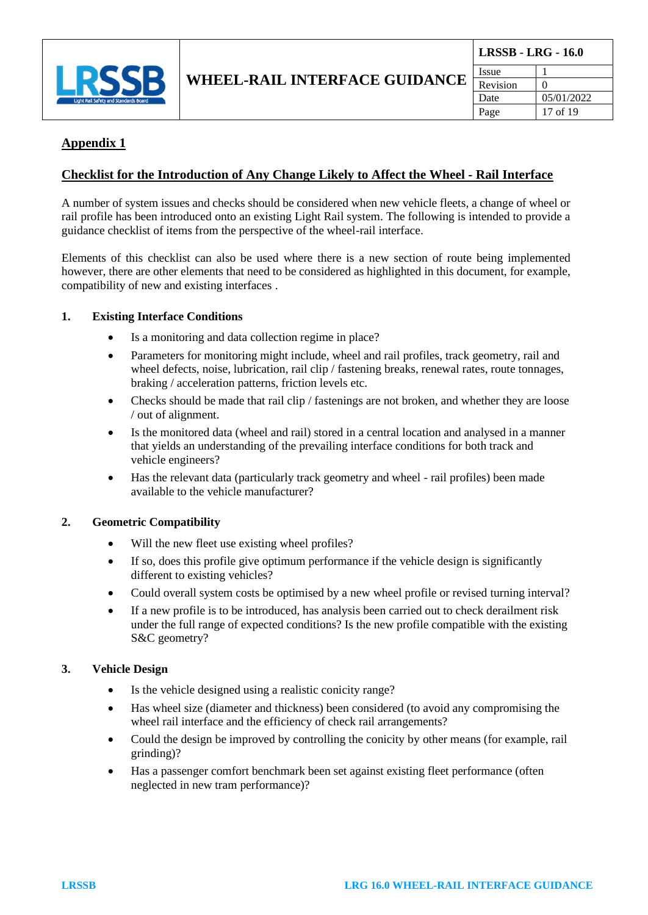

#### **Appendix 1**

#### **Checklist for the Introduction of Any Change Likely to Affect the Wheel - Rail Interface**

A number of system issues and checks should be considered when new vehicle fleets, a change of wheel or rail profile has been introduced onto an existing Light Rail system. The following is intended to provide a guidance checklist of items from the perspective of the wheel-rail interface.

Elements of this checklist can also be used where there is a new section of route being implemented however, there are other elements that need to be considered as highlighted in this document, for example, compatibility of new and existing interfaces .

#### **1. Existing Interface Conditions**

- Is a monitoring and data collection regime in place?
- Parameters for monitoring might include, wheel and rail profiles, track geometry, rail and wheel defects, noise, lubrication, rail clip / fastening breaks, renewal rates, route tonnages, braking / acceleration patterns, friction levels etc.
- Checks should be made that rail clip / fastenings are not broken, and whether they are loose / out of alignment.
- Is the monitored data (wheel and rail) stored in a central location and analysed in a manner that yields an understanding of the prevailing interface conditions for both track and vehicle engineers?
- Has the relevant data (particularly track geometry and wheel rail profiles) been made available to the vehicle manufacturer?

#### **2. Geometric Compatibility**

- Will the new fleet use existing wheel profiles?
- If so, does this profile give optimum performance if the vehicle design is significantly different to existing vehicles?
- Could overall system costs be optimised by a new wheel profile or revised turning interval?
- If a new profile is to be introduced, has analysis been carried out to check derailment risk under the full range of expected conditions? Is the new profile compatible with the existing S&C geometry?

#### **3. Vehicle Design**

- Is the vehicle designed using a realistic conicity range?
- Has wheel size (diameter and thickness) been considered (to avoid any compromising the wheel rail interface and the efficiency of check rail arrangements?
- Could the design be improved by controlling the conicity by other means (for example, rail grinding)?
- Has a passenger comfort benchmark been set against existing fleet performance (often neglected in new tram performance)?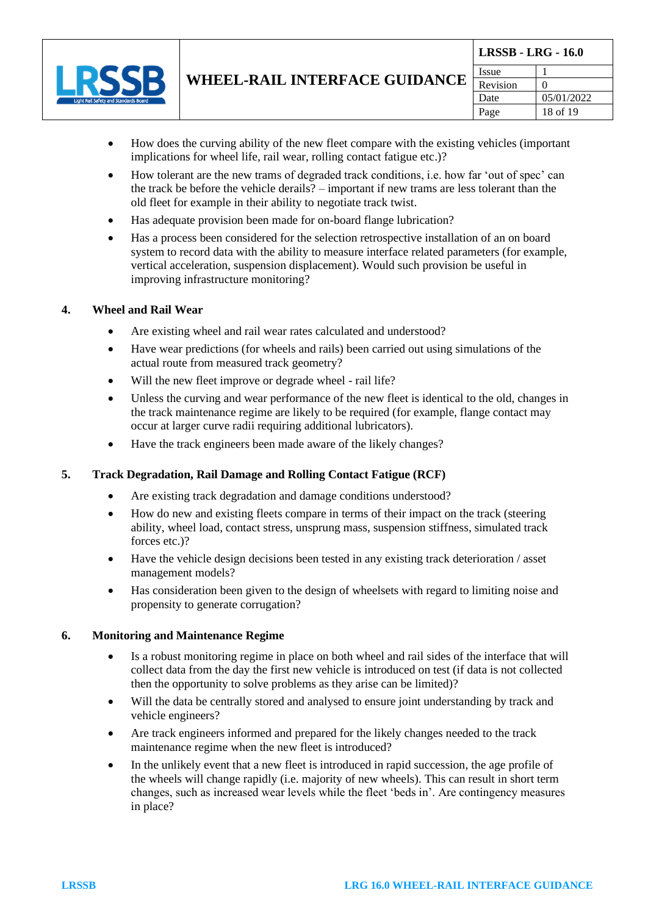

- How does the curving ability of the new fleet compare with the existing vehicles (important implications for wheel life, rail wear, rolling contact fatigue etc.)?
- How tolerant are the new trams of degraded track conditions, i.e. how far 'out of spec' can the track be before the vehicle derails? – important if new trams are less tolerant than the old fleet for example in their ability to negotiate track twist.
- Has adequate provision been made for on-board flange lubrication?
- Has a process been considered for the selection retrospective installation of an on board system to record data with the ability to measure interface related parameters (for example, vertical acceleration, suspension displacement). Would such provision be useful in improving infrastructure monitoring?

#### **4. Wheel and Rail Wear**

- Are existing wheel and rail wear rates calculated and understood?
- Have wear predictions (for wheels and rails) been carried out using simulations of the actual route from measured track geometry?
- Will the new fleet improve or degrade wheel rail life?
- Unless the curving and wear performance of the new fleet is identical to the old, changes in the track maintenance regime are likely to be required (for example, flange contact may occur at larger curve radii requiring additional lubricators).
- Have the track engineers been made aware of the likely changes?

#### **5. Track Degradation, Rail Damage and Rolling Contact Fatigue (RCF)**

- Are existing track degradation and damage conditions understood?
- How do new and existing fleets compare in terms of their impact on the track (steering ability, wheel load, contact stress, unsprung mass, suspension stiffness, simulated track forces etc.)?
- Have the vehicle design decisions been tested in any existing track deterioration / asset management models?
- Has consideration been given to the design of wheelsets with regard to limiting noise and propensity to generate corrugation?

#### **6. Monitoring and Maintenance Regime**

- Is a robust monitoring regime in place on both wheel and rail sides of the interface that will collect data from the day the first new vehicle is introduced on test (if data is not collected then the opportunity to solve problems as they arise can be limited)?
- Will the data be centrally stored and analysed to ensure joint understanding by track and vehicle engineers?
- Are track engineers informed and prepared for the likely changes needed to the track maintenance regime when the new fleet is introduced?
- In the unlikely event that a new fleet is introduced in rapid succession, the age profile of the wheels will change rapidly (i.e. majority of new wheels). This can result in short term changes, such as increased wear levels while the fleet 'beds in'. Are contingency measures in place?